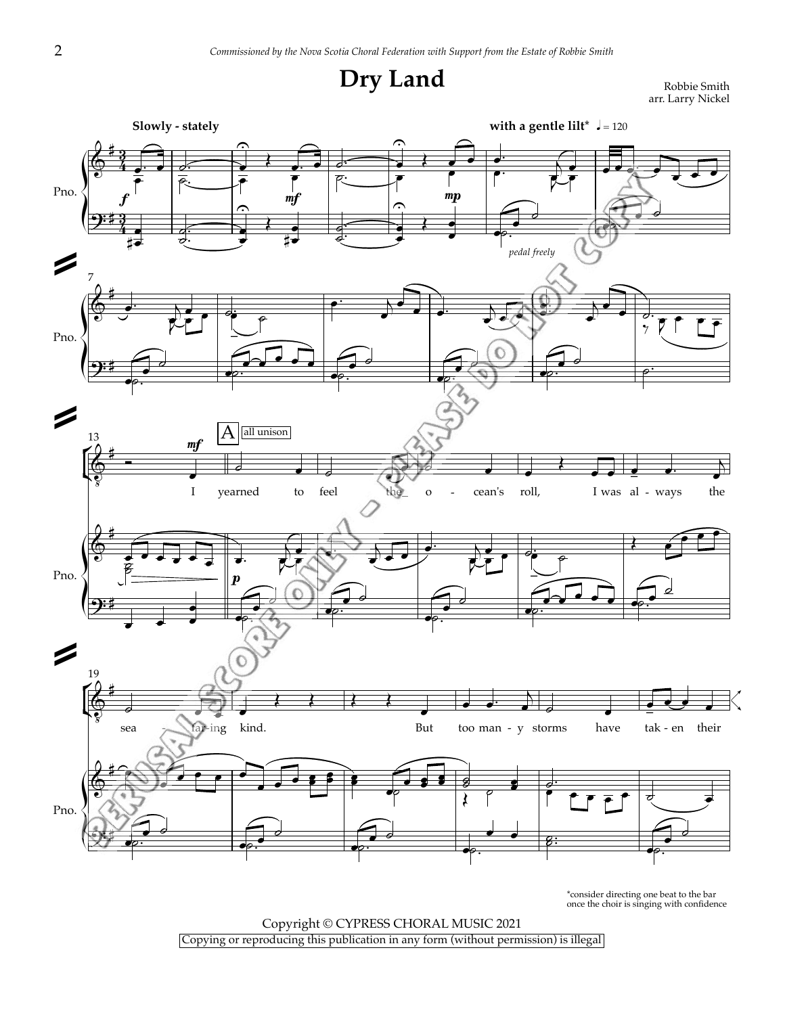

arr. Larry Nickel



\*consider directing one beat to the bar once the choir is singing with confidence

Copyright © CYPRESS CHORAL MUSIC 2021 Copying or reproducing this publication in any form (without permission) is illegal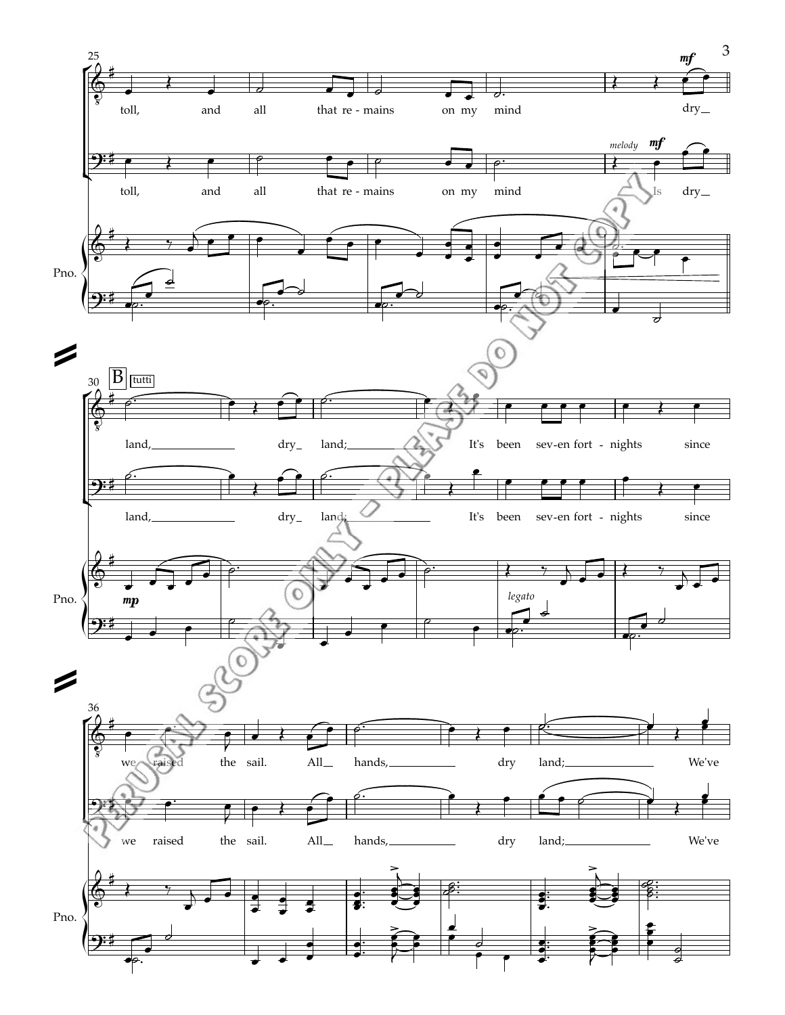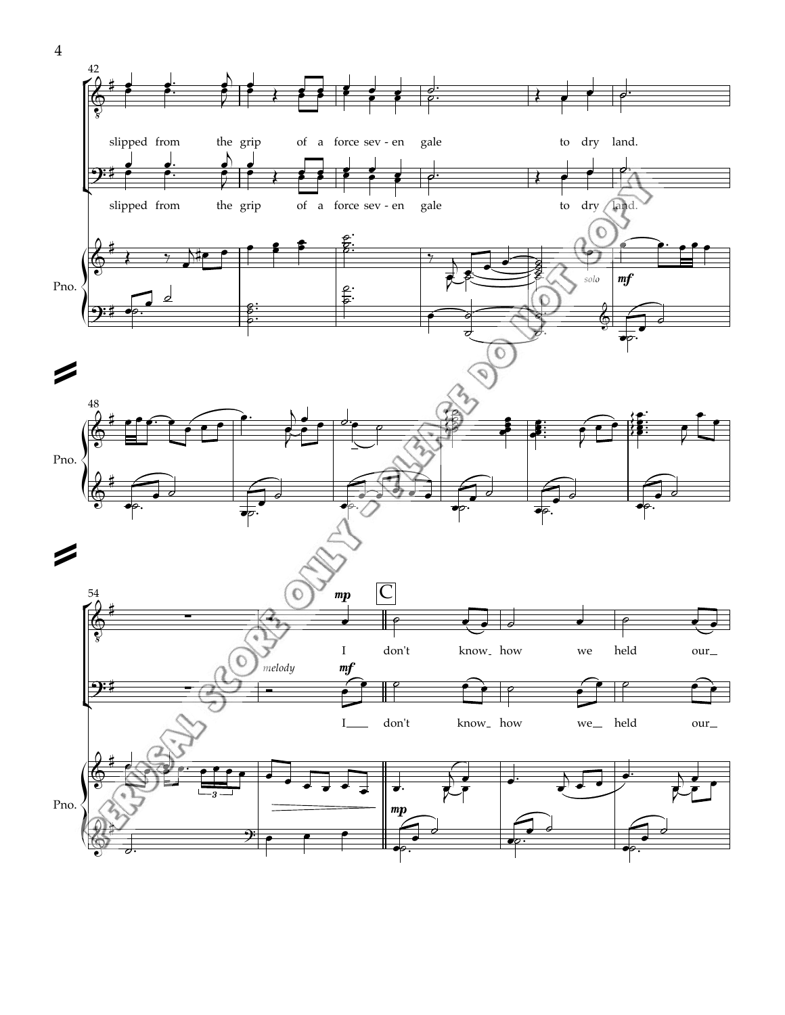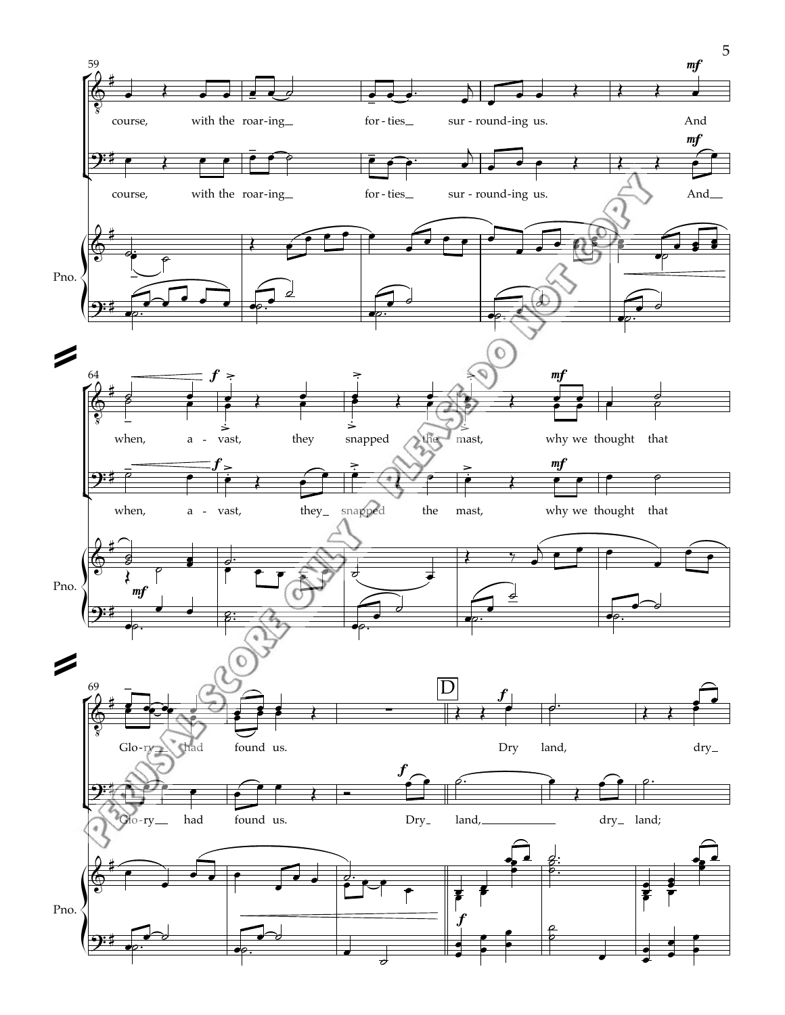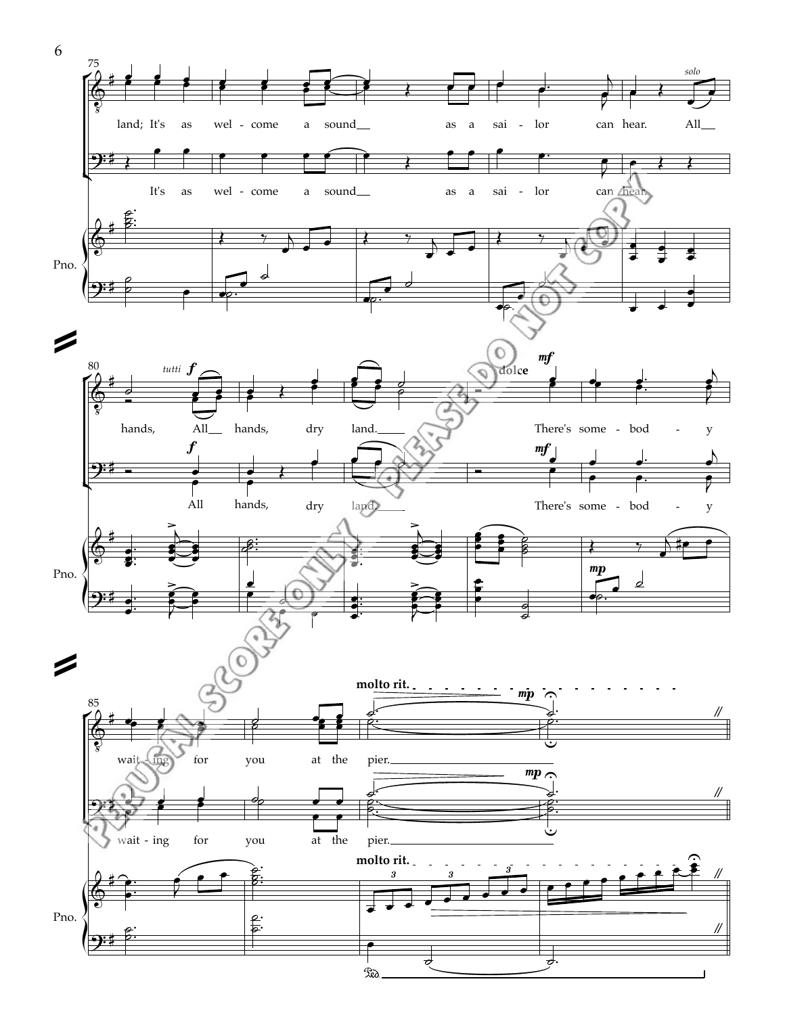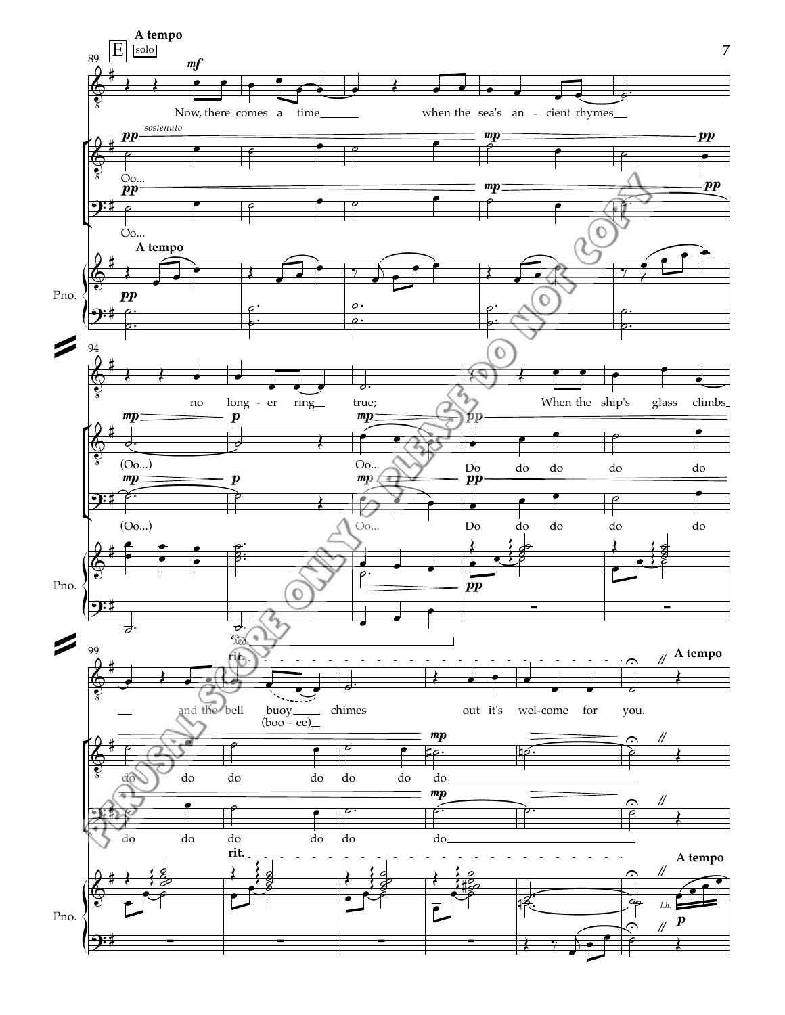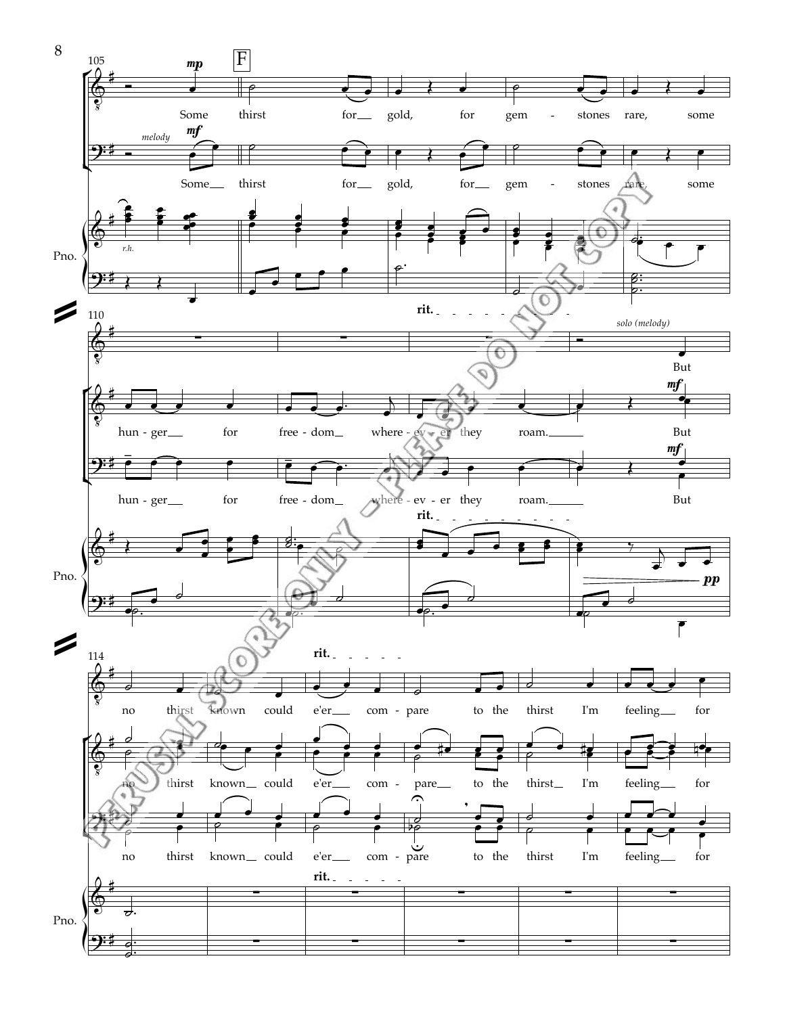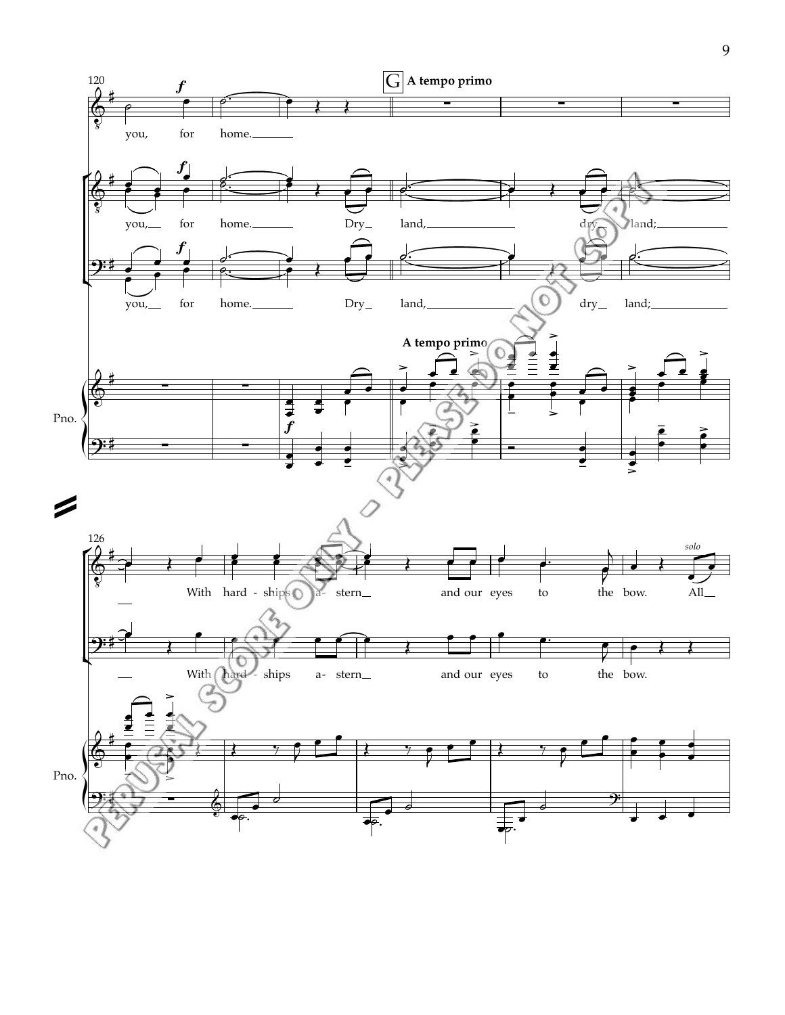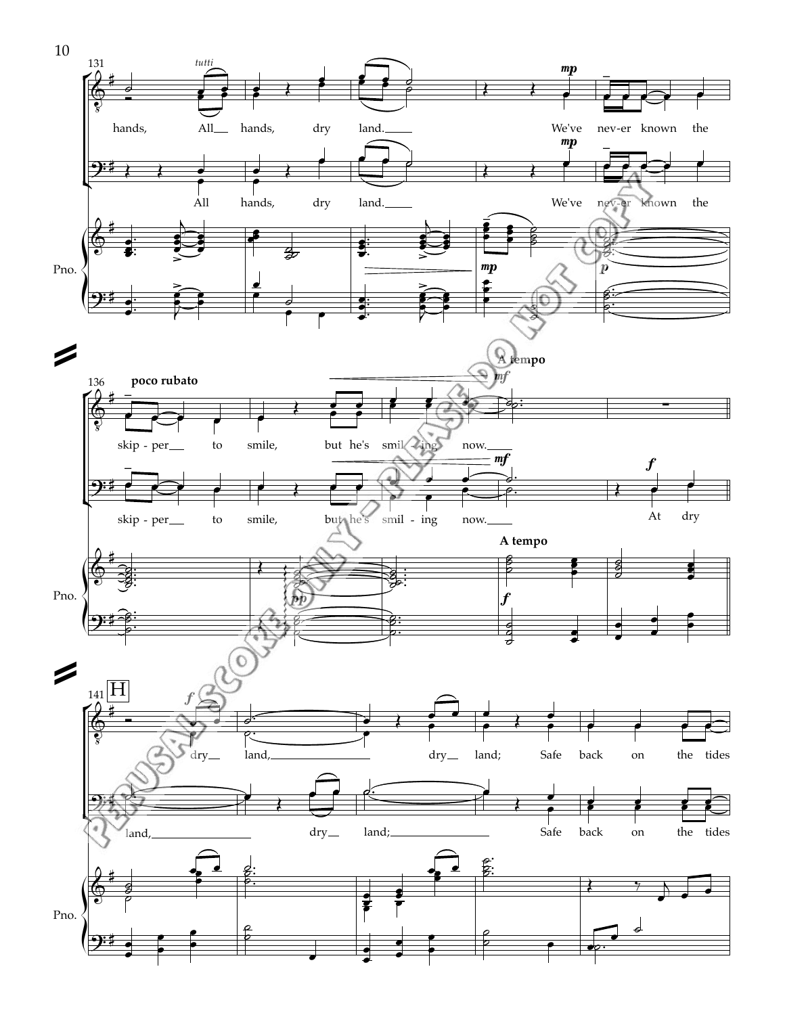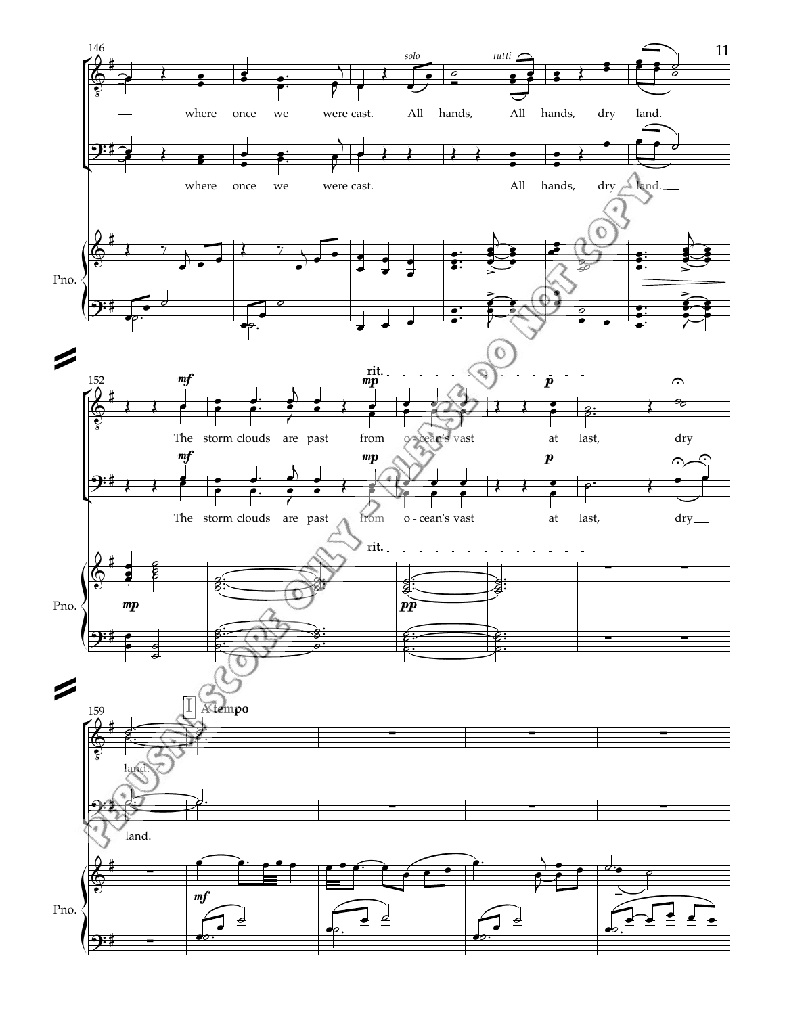